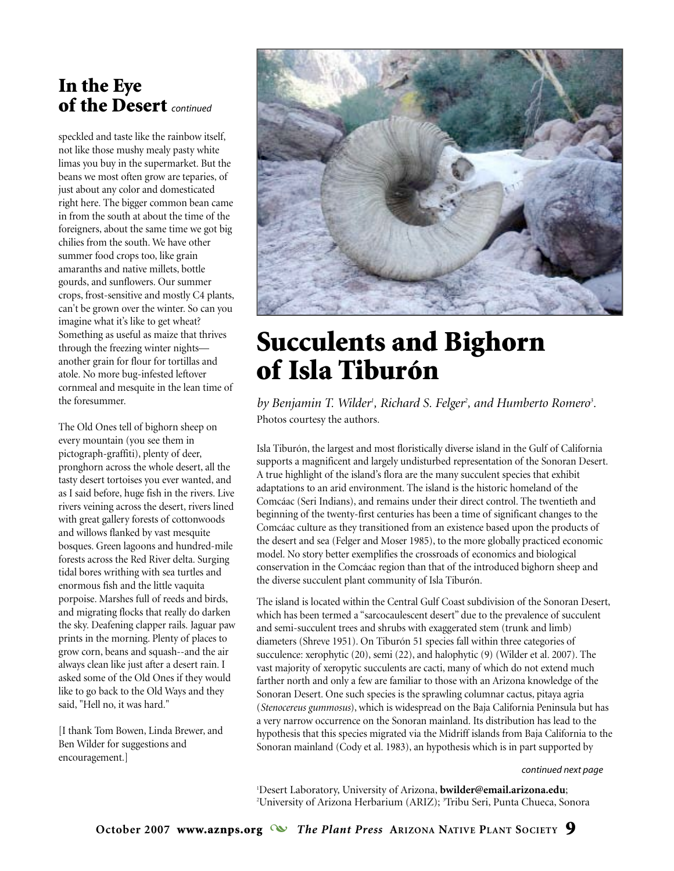# In the Eye of the Desert *continued*

speckled and taste like the rainbow itself, not like those mushy mealy pasty white limas you buy in the supermarket. But the beans we most often grow are teparies, of just about any color and domesticated right here. The bigger common bean came in from the south at about the time of the foreigners, about the same time we got big chilies from the south. We have other summer food crops too, like grain amaranths and native millets, bottle gourds, and sunflowers. Our summer crops, frost-sensitive and mostly C4 plants, can't be grown over the winter. So can you imagine what it's like to get wheat? Something as useful as maize that thrives through the freezing winter nights another grain for flour for tortillas and atole. No more bug-infested leftover cornmeal and mesquite in the lean time of the foresummer.

The Old Ones tell of bighorn sheep on every mountain (you see them in pictograph-graffiti), plenty of deer, pronghorn across the whole desert, all the tasty desert tortoises you ever wanted, and as I said before, huge fish in the rivers. Live rivers veining across the desert, rivers lined with great gallery forests of cottonwoods and willows flanked by vast mesquite bosques. Green lagoons and hundred-mile forests across the Red River delta. Surging tidal bores writhing with sea turtles and enormous fish and the little vaquita porpoise. Marshes full of reeds and birds, and migrating flocks that really do darken the sky. Deafening clapper rails. Jaguar paw prints in the morning. Plenty of places to grow corn, beans and squash--and the air always clean like just after a desert rain. I asked some of the Old Ones if they would like to go back to the Old Ways and they said, "Hell no, it was hard."

[I thank Tom Bowen, Linda Brewer, and Ben Wilder for suggestions and encouragement.]



# Succulents and Bighorn of Isla Tiburón

*by Benjamin T. Wilder<sup>1</sup>, Richard S. Felger<sup>2</sup>, and Humberto Romero<sup>3</sup>.* Photos courtesy the authors.

Isla Tiburón, the largest and most floristically diverse island in the Gulf of California supports a magnificent and largely undisturbed representation of the Sonoran Desert. A true highlight of the island's flora are the many succulent species that exhibit adaptations to an arid environment. The island is the historic homeland of the Comcáac (Seri Indians), and remains under their direct control. The twentieth and beginning of the twenty-first centuries has been a time of significant changes to the Comcáac culture as they transitioned from an existence based upon the products of the desert and sea (Felger and Moser 1985), to the more globally practiced economic model. No story better exemplifies the crossroads of economics and biological conservation in the Comcáac region than that of the introduced bighorn sheep and the diverse succulent plant community of Isla Tiburón.

The island is located within the Central Gulf Coast subdivision of the Sonoran Desert, which has been termed a "sarcocaulescent desert" due to the prevalence of succulent and semi-succulent trees and shrubs with exaggerated stem (trunk and limb) diameters (Shreve 1951). On Tiburón 51 species fall within three categories of succulence: xerophytic (20), semi (22), and halophytic (9) (Wilder et al. 2007). The vast majority of xeropytic succulents are cacti, many of which do not extend much farther north and only a few are familiar to those with an Arizona knowledge of the Sonoran Desert. One such species is the sprawling columnar cactus, pitaya agria (*Stenocereus gummosus*), which is widespread on the Baja California Peninsula but has a very narrow occurrence on the Sonoran mainland. Its distribution has lead to the hypothesis that this species migrated via the Midriff islands from Baja California to the Sonoran mainland (Cody et al. 1983), an hypothesis which is in part supported by

#### *continued next page*

1 Desert Laboratory, University of Arizona, **bwilder@email.arizona.edu**; <sup>2</sup>University of Arizona Herbarium (ARIZ); <sup>3</sup>Tribu Seri, Punta Chueca, Sonora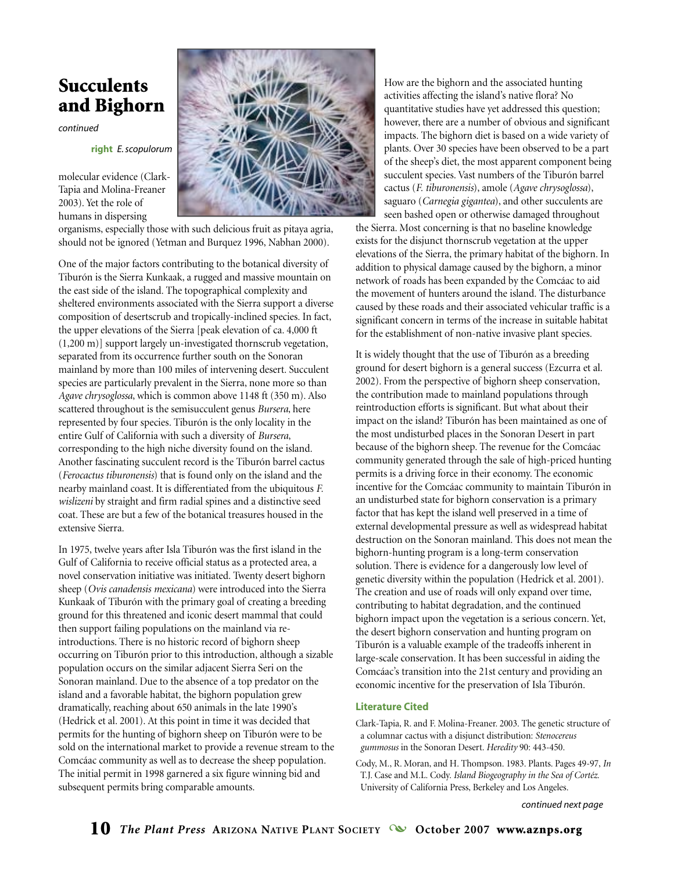# Succulents and Bighorn

*continued*

**right** *E.scopulorum*

molecular evidence (Clark-Tapia and Molina-Freaner 2003). Yet the role of humans in dispersing



organisms, especially those with such delicious fruit as pitaya agria, should not be ignored (Yetman and Burquez 1996, Nabhan 2000).

One of the major factors contributing to the botanical diversity of Tiburón is the Sierra Kunkaak, a rugged and massive mountain on the east side of the island. The topographical complexity and sheltered environments associated with the Sierra support a diverse composition of desertscrub and tropically-inclined species. In fact, the upper elevations of the Sierra [peak elevation of ca. 4,000 ft (1,200 m)] support largely un-investigated thornscrub vegetation, separated from its occurrence further south on the Sonoran mainland by more than 100 miles of intervening desert. Succulent species are particularly prevalent in the Sierra, none more so than *Agave chrysoglossa*, which is common above 1148 ft (350 m). Also scattered throughout is the semisucculent genus *Bursera*, here represented by four species. Tiburón is the only locality in the entire Gulf of California with such a diversity of *Bursera*, corresponding to the high niche diversity found on the island. Another fascinating succulent record is the Tiburón barrel cactus (*Ferocactus tiburonensis*) that is found only on the island and the nearby mainland coast. It is differentiated from the ubiquitous *F. wislizeni* by straight and firm radial spines and a distinctive seed coat. These are but a few of the botanical treasures housed in the extensive Sierra.

In 1975, twelve years after Isla Tiburón was the first island in the Gulf of California to receive official status as a protected area, a novel conservation initiative was initiated. Twenty desert bighorn sheep (*Ovis canadensis mexicana*) were introduced into the Sierra Kunkaak of Tiburón with the primary goal of creating a breeding ground for this threatened and iconic desert mammal that could then support failing populations on the mainland via reintroductions. There is no historic record of bighorn sheep occurring on Tiburón prior to this introduction, although a sizable population occurs on the similar adjacent Sierra Seri on the Sonoran mainland. Due to the absence of a top predator on the island and a favorable habitat, the bighorn population grew dramatically, reaching about 650 animals in the late 1990's (Hedrick et al. 2001). At this point in time it was decided that permits for the hunting of bighorn sheep on Tiburón were to be sold on the international market to provide a revenue stream to the Comcáac community as well as to decrease the sheep population. The initial permit in 1998 garnered a six figure winning bid and subsequent permits bring comparable amounts.

How are the bighorn and the associated hunting activities affecting the island's native flora? No quantitative studies have yet addressed this question; however, there are a number of obvious and significant impacts. The bighorn diet is based on a wide variety of plants. Over 30 species have been observed to be a part of the sheep's diet, the most apparent component being succulent species. Vast numbers of the Tiburón barrel cactus (*F. tiburonensis*), amole (*Agave chrysoglossa*), saguaro (*Carnegia gigantea*), and other succulents are seen bashed open or otherwise damaged throughout

the Sierra. Most concerning is that no baseline knowledge exists for the disjunct thornscrub vegetation at the upper elevations of the Sierra, the primary habitat of the bighorn. In addition to physical damage caused by the bighorn, a minor network of roads has been expanded by the Comcáac to aid the movement of hunters around the island. The disturbance caused by these roads and their associated vehicular traffic is a significant concern in terms of the increase in suitable habitat for the establishment of non-native invasive plant species.

It is widely thought that the use of Tiburón as a breeding ground for desert bighorn is a general success (Ezcurra et al. 2002). From the perspective of bighorn sheep conservation, the contribution made to mainland populations through reintroduction efforts is significant. But what about their impact on the island? Tiburón has been maintained as one of the most undisturbed places in the Sonoran Desert in part because of the bighorn sheep. The revenue for the Comcáac community generated through the sale of high-priced hunting permits is a driving force in their economy. The economic incentive for the Comcáac community to maintain Tiburón in an undisturbed state for bighorn conservation is a primary factor that has kept the island well preserved in a time of external developmental pressure as well as widespread habitat destruction on the Sonoran mainland. This does not mean the bighorn-hunting program is a long-term conservation solution. There is evidence for a dangerously low level of genetic diversity within the population (Hedrick et al. 2001). The creation and use of roads will only expand over time, contributing to habitat degradation, and the continued bighorn impact upon the vegetation is a serious concern. Yet, the desert bighorn conservation and hunting program on Tiburón is a valuable example of the tradeoffs inherent in large-scale conservation. It has been successful in aiding the Comcáac's transition into the 21st century and providing an economic incentive for the preservation of Isla Tiburón.

#### **Literature Cited**

Clark-Tapia, R. and F. Molina-Freaner. 2003. The genetic structure of a columnar cactus with a disjunct distribution: *Stenocereus gummosus* in the Sonoran Desert. *Heredity* 90: 443-450.

Cody, M., R. Moran, and H. Thompson. 1983. Plants. Pages 49-97, *In* T.J. Case and M.L. Cody. *Island Biogeography in the Sea of Cortéz*. University of California Press, Berkeley and Los Angeles.

*continued next page*